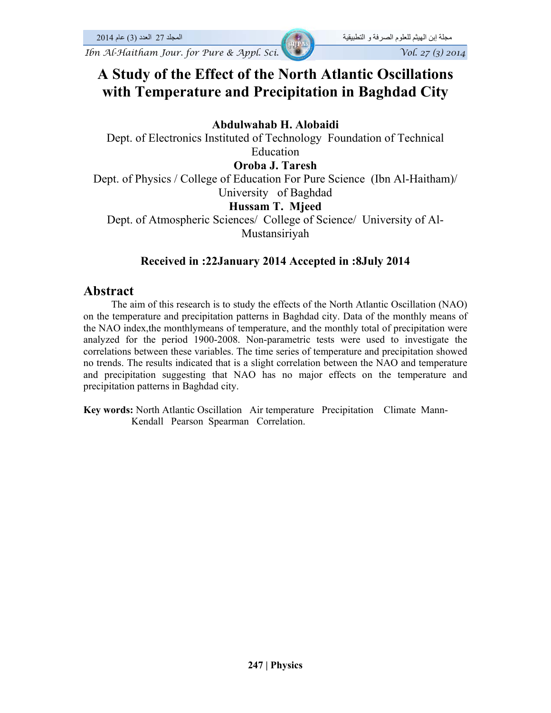## **A Study of the Effect of the North Atlantic Oscillations with Temperature and Precipitation in Baghdad City**

## **Abdulwahab H. Alobaidi**

Dept. of Electronics Instituted of Technology Foundation of Technical Education

## **Oroba J. Taresh**

Dept. of Physics / College of Education For Pure Science (Ibn Al-Haitham)/ University of Baghdad

## **Hussam T. Mjeed**

Dept. of Atmospheric Sciences/ College of Science/ University of Al-Mustansiriyah

## **Received in :22January 2014 Accepted in :8July 2014**

## **Abstract**

 The aim of this research is to study the effects of the North Atlantic Oscillation (NAO) on the temperature and precipitation patterns in Baghdad city. Data of the monthly means of the NAO index,the monthlymeans of temperature, and the monthly total of precipitation were analyzed for the period 1900-2008. Non-parametric tests were used to investigate the correlations between these variables. The time series of temperature and precipitation showed no trends. The results indicated that is a slight correlation between the NAO and temperature and precipitation suggesting that NAO has no major effects on the temperature and precipitation patterns in Baghdad city.

**Key words:** North Atlantic Oscillation Air temperature Precipitation Climate Mann-Kendall Pearson Spearman Correlation.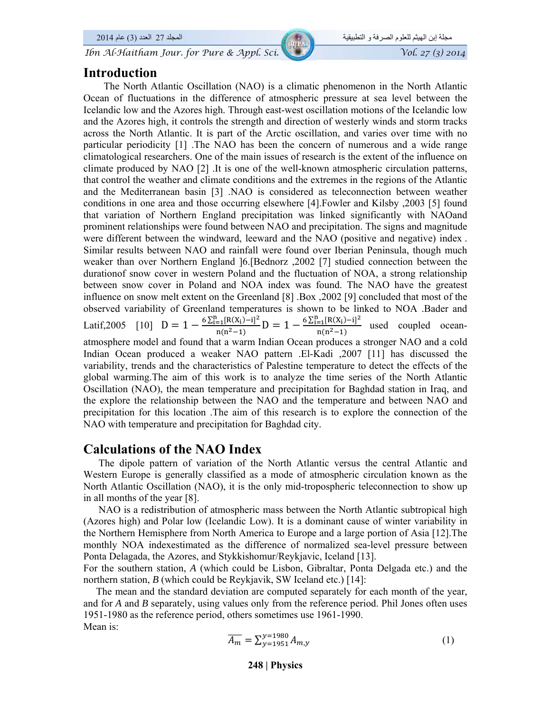*Ibn Al-Haitham Jour. for Pure & Appl. Sci.* 

# مجلة إبن الھيثم للعلوم الصرفة و التطبيقية المجلد 27 العدد (3) عام 2014

## **Introduction**

 The North Atlantic Oscillation (NAO) is a climatic phenomenon in the North Atlantic Ocean of fluctuations in the difference of atmospheric pressure at sea level between the Icelandic low and the Azores high. Through east-west oscillation motions of the Icelandic low and the Azores high, it controls the strength and direction of westerly winds and storm tracks across the North Atlantic. It is part of the Arctic oscillation, and varies over time with no particular periodicity [1] .The NAO has been the concern of numerous and a wide range climatological researchers. One of the main issues of research is the extent of the influence on climate produced by NAO [2] . It is one of the well-known atmospheric circulation patterns, that control the weather and climate conditions and the extremes in the regions of the Atlantic and the Mediterranean basin [3] .NAO is considered as teleconnection between weather conditions in one area and those occurring elsewhere [4].Fowler and Kilsby ,2003 [5] found that variation of Northern England precipitation was linked significantly with NAOand prominent relationships were found between NAO and precipitation. The signs and magnitude were different between the windward, leeward and the NAO (positive and negative) index . Similar results between NAO and rainfall were found over Iberian Peninsula, though much weaker than over Northern England ]6.[Bednorz ,2002 [7] studied connection between the durationof snow cover in western Poland and the fluctuation of NOA, a strong relationship between snow cover in Poland and NOA index was found. The NAO have the greatest influence on snow melt extent on the Greenland [8] .Box ,2002 [9] concluded that most of the observed variability of Greenland temperatures is shown to be linked to NOA .Bader and Latif,2005 [10]  $D = 1 - \frac{6 \sum_{i=1}^{n} [R(X_i) - i]^2}{n(n^2 - 1)} D = 1 - \frac{6 \sum_{i=1}^{n} [R(X_i) - i]^2}{n(n^2 - 1)}$  used coupled oceanatmosphere model and found that a warm Indian Ocean produces a stronger NAO and a cold Indian Ocean produced a weaker NAO pattern .El-Kadi ,2007 [11] has discussed the variability, trends and the characteristics of Palestine temperature to detect the effects of the global warming.The aim of this work is to analyze the time series of the North Atlantic Oscillation (NAO), the mean temperature and precipitation for Baghdad station in Iraq, and the explore the relationship between the NAO and the temperature and between NAO and precipitation for this location .The aim of this research is to explore the connection of the NAO with temperature and precipitation for Baghdad city.

## **Calculations of the NAO Index**

 The dipole pattern of variation of the North Atlantic versus the central Atlantic and Western Europe is generally classified as a mode of atmospheric circulation known as the North Atlantic Oscillation (NAO), it is the only mid-tropospheric teleconnection to show up in all months of the year [8].

 NAO is a redistribution of atmospheric mass between the North Atlantic subtropical high (Azores high) and Polar low (Icelandic Low). It is a dominant cause of winter variability in the Northern Hemisphere from North America to Europe and a large portion of Asia [12].The monthly NOA indexestimated as the difference of normalized sea-level pressure between Ponta Delagada, the Azores, and Stykkishomur/Reykjavic, Iceland [13].

For the southern station, *A* (which could be Lisbon, Gibraltar, Ponta Delgada etc.) and the northern station, *B* (which could be Reykjavik, SW Iceland etc.) [14]:

 The mean and the standard deviation are computed separately for each month of the year, and for *A* and *B* separately, using values only from the reference period. Phil Jones often uses 1951-1980 as the reference period, others sometimes use 1961-1990. Mean is:

$$
\overline{A_m} = \sum_{y=1951}^{y=1980} A_{m,y} \tag{1}
$$

**248 | Physics**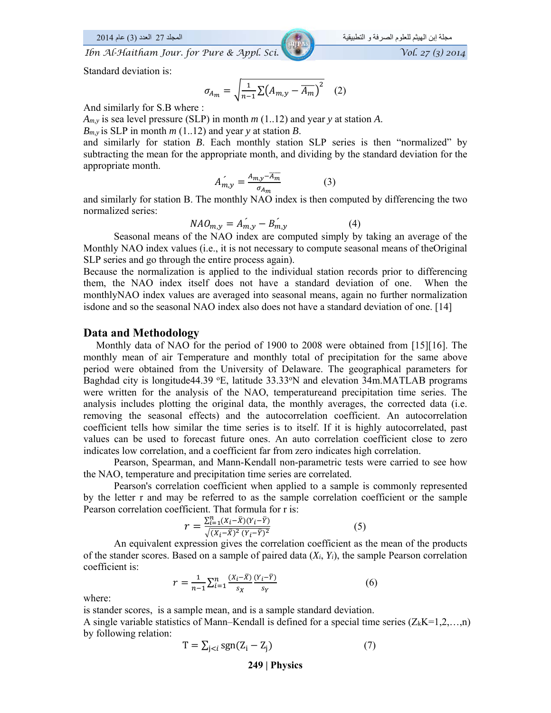Standard deviation is:

$$
\sigma_{A_m} = \sqrt{\frac{1}{n-1} \sum (A_{m,y} - \overline{A_m})^2} \quad (2)
$$

And similarly for S.B where :

*Am,y* is sea level pressure (SLP) in month *m* (1..12) and year *y* at station *A*.

 $B_{m,y}$  is SLP in month *m* (1..12) and year *y* at station *B*.

and similarly for station *B*. Each monthly station SLP series is then "normalized" by subtracting the mean for the appropriate month, and dividing by the standard deviation for the appropriate month.

$$
A_{m,y} = \frac{A_{m,y} - \overline{A_m}}{\sigma_{A_m}}
$$
 (3)

and similarly for station B. The monthly NAO index is then computed by differencing the two normalized series:

$$
NAO_{m,y} = A_{m,y} - B_{m,y} \tag{4}
$$

Seasonal means of the NAO index are computed simply by taking an average of the Monthly NAO index values (i.e., it is not necessary to compute seasonal means of theOriginal SLP series and go through the entire process again).

Because the normalization is applied to the individual station records prior to differencing them, the NAO index itself does not have a standard deviation of one. When the monthlyNAO index values are averaged into seasonal means, again no further normalization isdone and so the seasonal NAO index also does not have a standard deviation of one. [14]

#### **Data and Methodology**

 Monthly data of NAO for the period of 1900 to 2008 were obtained from [15][16]. The monthly mean of air Temperature and monthly total of precipitation for the same above period were obtained from the University of Delaware. The geographical parameters for Baghdad city is longitude 44.39  $\textdegree$ E, latitude 33.33 $\textdegree$ N and elevation 34m. MATLAB programs were written for the analysis of the NAO, temperatureand precipitation time series. The analysis includes plotting the original data, the monthly averages, the corrected data (i.e. removing the seasonal effects) and the autocorrelation coefficient. An autocorrelation coefficient tells how similar the time series is to itself. If it is highly autocorrelated, past values can be used to forecast future ones. An auto correlation coefficient close to zero indicates low correlation, and a coefficient far from zero indicates high correlation.

Pearson, Spearman, and Mann-Kendall non-parametric tests were carried to see how the NAO, temperature and precipitation time series are correlated.

Pearson's correlation coefficient when applied to a sample is commonly represented by the letter r and may be referred to as the sample correlation coefficient or the sample Pearson correlation coefficient. That formula for r is:

$$
r = \frac{\sum_{i=1}^{n} (X_i - \bar{X})(Y_i - \bar{Y})}{\sqrt{(X_i - \bar{X})^2 (Y_i - \bar{Y})^2}}
$$
(5)

An equivalent expression gives the correlation coefficient as the mean of the products of the stander scores. Based on a sample of paired data (*Xi*, *Yi*), the sample Pearson correlation coefficient is:

$$
r = \frac{1}{n-1} \sum_{i=1}^{n} \frac{(X_i - \bar{X})}{s_X} \frac{(Y_i - \bar{Y})}{s_Y}
$$
(6)

where:

is stander scores, is a sample mean, and is a sample standard deviation. A single variable statistics of Mann–Kendall is defined for a special time series  $(Z_kK=1,2,...,n)$ by following relation:

$$
T = \sum_{j < i} sgn(Z_i - Z_j) \tag{7}
$$

**249 | Physics**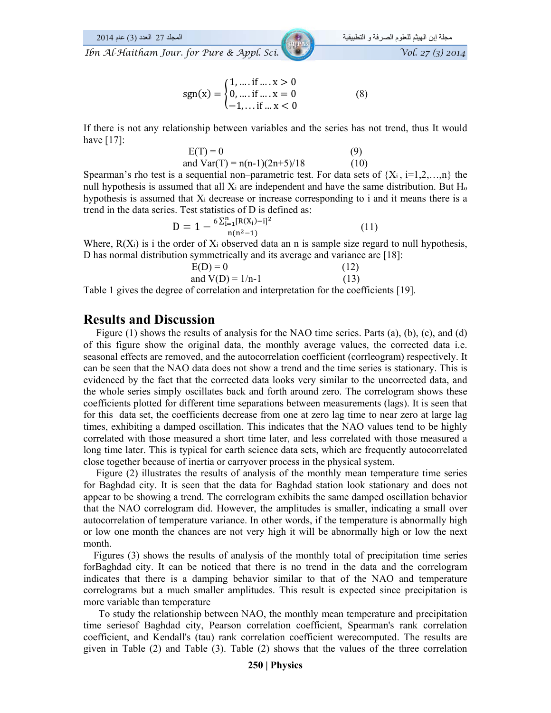$$
sgn(x) = \begin{cases} 1, \dots, \text{if } \dots, x > 0 \\ 0, \dots, \text{if } \dots, x = 0 \\ -1, \dots, \text{if } \dots, x < 0 \end{cases}
$$
 (8)

If there is not any relationship between variables and the series has not trend, thus It would have [17]:

$$
E(T) = 0
$$
 (9)  
and Var(T) = n(n-1)(2n+5)/18 (10)

Spearman's rho test is a sequential non–parametric test. For data sets of  $\{X_i, i=1,2,...,n\}$  the null hypothesis is assumed that all  $X_i$  are independent and have the same distribution. But  $H_0$ hypothesis is assumed that Xi decrease or increase corresponding to i and it means there is a trend in the data series. Test statistics of D is defined as:

$$
D = 1 - \frac{6\sum_{i=1}^{n} [R(X_i) - i]^2}{n(n^2 - 1)}
$$
(11)

Where,  $R(X_i)$  is i the order of  $X_i$  observed data an n is sample size regard to null hypothesis, D has normal distribution symmetrically and its average and variance are [18]:

$$
E(D) = 0
$$
 (12)  
and V(D) = 1/n-1 (13)

Table 1 gives the degree of correlation and interpretation for the coefficients [19].

#### **Results and Discussion**

 Figure (1) shows the results of analysis for the NAO time series. Parts (a), (b), (c), and (d) of this figure show the original data, the monthly average values, the corrected data i.e. seasonal effects are removed, and the autocorrelation coefficient (corrleogram) respectively. It can be seen that the NAO data does not show a trend and the time series is stationary. This is evidenced by the fact that the corrected data looks very similar to the uncorrected data, and the whole series simply oscillates back and forth around zero. The correlogram shows these coefficients plotted for different time separations between measurements (lags). It is seen that for this data set, the coefficients decrease from one at zero lag time to near zero at large lag times, exhibiting a damped oscillation. This indicates that the NAO values tend to be highly correlated with those measured a short time later, and less correlated with those measured a long time later. This is typical for earth science data sets, which are frequently autocorrelated close together because of inertia or carryover process in the physical system.

 Figure (2) illustrates the results of analysis of the monthly mean temperature time series for Baghdad city. It is seen that the data for Baghdad station look stationary and does not appear to be showing a trend. The correlogram exhibits the same damped oscillation behavior that the NAO correlogram did. However, the amplitudes is smaller, indicating a small over autocorrelation of temperature variance. In other words, if the temperature is abnormally high or low one month the chances are not very high it will be abnormally high or low the next month.

 Figures (3) shows the results of analysis of the monthly total of precipitation time series forBaghdad city. It can be noticed that there is no trend in the data and the correlogram indicates that there is a damping behavior similar to that of the NAO and temperature correlograms but a much smaller amplitudes. This result is expected since precipitation is more variable than temperature

 To study the relationship between NAO, the monthly mean temperature and precipitation time seriesof Baghdad city, Pearson correlation coefficient, Spearman's rank correlation coefficient, and Kendall's (tau) rank correlation coefficient werecomputed. The results are given in Table (2) and Table (3). Table (2) shows that the values of the three correlation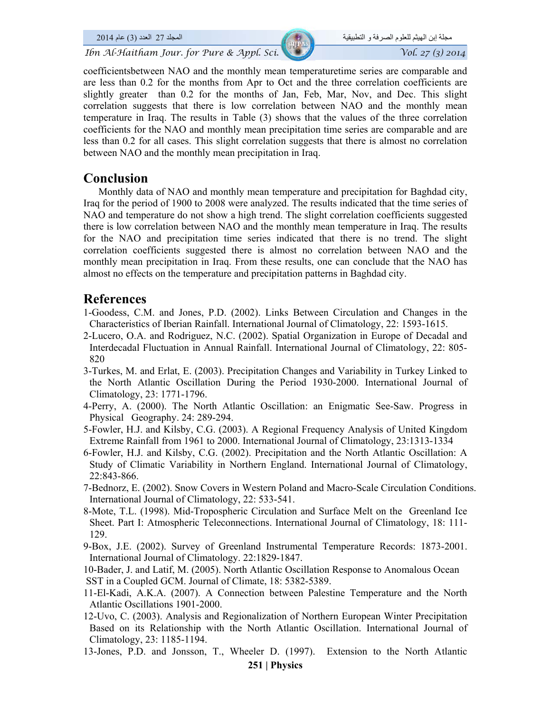coefficientsbetween NAO and the monthly mean temperaturetime series are comparable and are less than 0.2 for the months from Apr to Oct and the three correlation coefficients are slightly greater than 0.2 for the months of Jan, Feb, Mar, Nov, and Dec. This slight correlation suggests that there is low correlation between NAO and the monthly mean temperature in Iraq. The results in Table (3) shows that the values of the three correlation coefficients for the NAO and monthly mean precipitation time series are comparable and are less than 0.2 for all cases. This slight correlation suggests that there is almost no correlation between NAO and the monthly mean precipitation in Iraq.

## **Conclusion**

 Monthly data of NAO and monthly mean temperature and precipitation for Baghdad city, Iraq for the period of 1900 to 2008 were analyzed. The results indicated that the time series of NAO and temperature do not show a high trend. The slight correlation coefficients suggested there is low correlation between NAO and the monthly mean temperature in Iraq. The results for the NAO and precipitation time series indicated that there is no trend. The slight correlation coefficients suggested there is almost no correlation between NAO and the monthly mean precipitation in Iraq. From these results, one can conclude that the NAO has almost no effects on the temperature and precipitation patterns in Baghdad city.

## **References**

- 1-Goodess, C.M. and Jones, P.D. (2002). Links Between Circulation and Changes in the Characteristics of Iberian Rainfall. International Journal of Climatology, 22: 1593-1615.
- 2-Lucero, O.A. and Rodriguez, N.C. (2002). Spatial Organization in Europe of Decadal and Interdecadal Fluctuation in Annual Rainfall. International Journal of Climatology, 22: 805- 820
- 3-Turkes, M. and Erlat, E. (2003). Precipitation Changes and Variability in Turkey Linked to the North Atlantic Oscillation During the Period 1930-2000. International Journal of Climatology, 23: 1771-1796.
- 4-Perry, A. (2000). The North Atlantic Oscillation: an Enigmatic See-Saw. Progress in Physical Geography. 24: 289-294.
- 5-Fowler, H.J. and Kilsby, C.G. (2003). A Regional Frequency Analysis of United Kingdom Extreme Rainfall from 1961 to 2000. International Journal of Climatology, 23:1313-1334
- 6-Fowler, H.J. and Kilsby, C.G. (2002). Precipitation and the North Atlantic Oscillation: A Study of Climatic Variability in Northern England. International Journal of Climatology, 22:843-866.
- 7-Bednorz, E. (2002). Snow Covers in Western Poland and Macro-Scale Circulation Conditions. International Journal of Climatology, 22: 533-541.
- 8-Mote, T.L. (1998). Mid-Tropospheric Circulation and Surface Melt on the Greenland Ice Sheet. Part I: Atmospheric Teleconnections. International Journal of Climatology, 18: 111- 129.
- 9-Box, J.E. (2002). Survey of Greenland Instrumental Temperature Records: 1873-2001. International Journal of Climatology. 22:1829-1847.

10-Bader, J. and Latif, M. (2005). North Atlantic Oscillation Response to Anomalous Ocean SST in a Coupled GCM. Journal of Climate, 18: 5382-5389.

- 11-El-Kadi, A.K.A. (2007). A Connection between Palestine Temperature and the North Atlantic Oscillations 1901-2000.
- 12-Uvo, C. (2003). Analysis and Regionalization of Northern European Winter Precipitation Based on its Relationship with the North Atlantic Oscillation. International Journal of Climatology, 23: 1185-1194.
- **251 | Physics**  13-Jones, P.D. and Jonsson, T., Wheeler D. (1997). Extension to the North Atlantic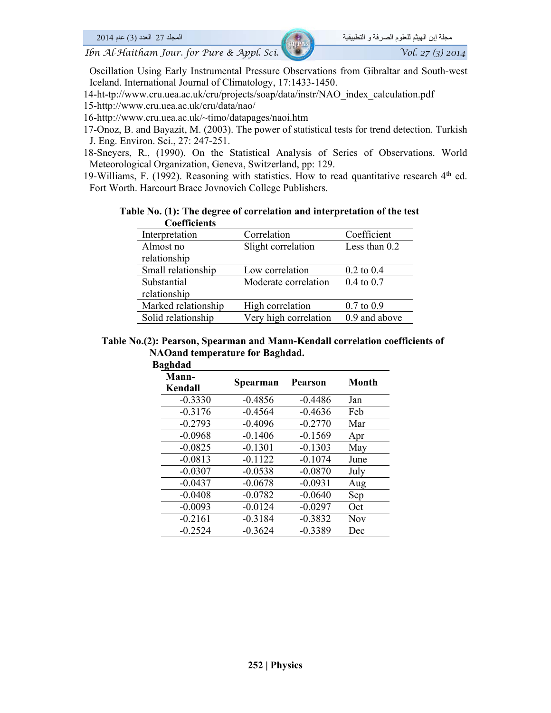Oscillation Using Early Instrumental Pressure Observations from Gibraltar and South-west Iceland. International Journal of Climatology, 17:1433-1450.

14-ht-tp://www.cru.uea.ac.uk/cru/projects/soap/data/instr/NAO\_index\_calculation.pdf

15-http://www.cru.uea.ac.uk/cru/data/nao/

16-http://www.cru.uea.ac.uk/~timo/datapages/naoi.htm

17-Onoz, B. and Bayazit, M. (2003). The power of statistical tests for trend detection. Turkish J. Eng. Environ. Sci., 27: 247-251.

18-Sneyers, R., (1990). On the Statistical Analysis of Series of Observations. World Meteorological Organization, Geneva, Switzerland, pp: 129.

19-Williams, F. (1992). Reasoning with statistics. How to read quantitative research  $4<sup>th</sup>$  ed. Fort Worth. Harcourt Brace Jovnovich College Publishers.

#### **Table No. (1): The degree of correlation and interpretation of the test Coefficients**

| Interpretation      | Correlation           | Coefficient           |
|---------------------|-----------------------|-----------------------|
| Almost no           | Slight correlation    | Less than $0.2$       |
| relationship        |                       |                       |
| Small relationship  | Low correlation       | $0.2$ to $0.4$        |
| Substantial         | Moderate correlation  | $0.4 \text{ to } 0.7$ |
| relationship        |                       |                       |
| Marked relationship | High correlation      | $0.7$ to $0.9$        |
| Solid relationship  | Very high correlation | 0.9 and above         |

#### **Table No.(2): Pearson, Spearman and Mann-Kendall correlation coefficients of NAOand temperature for Baghdad.**

| <b>Baghdad</b>   |           |                |       |
|------------------|-----------|----------------|-------|
| Mann-<br>Kendall | Spearman  | <b>Pearson</b> | Month |
| $-0.3330$        | $-0.4856$ | $-0.4486$      | Jan   |
| $-0.3176$        | $-0.4564$ | $-0.4636$      | Feb   |
| $-0.2793$        | $-0.4096$ | $-0.2770$      | Mar   |
| $-0.0968$        | $-0.1406$ | $-0.1569$      | Apr   |
| $-0.0825$        | $-0.1301$ | $-0.1303$      | May   |
| $-0.0813$        | $-0.1122$ | $-0.1074$      | June  |
| $-0.0307$        | $-0.0538$ | $-0.0870$      | July  |
| $-0.0437$        | $-0.0678$ | $-0.0931$      | Aug   |
| $-0.0408$        | $-0.0782$ | $-0.0640$      | Sep   |
| $-0.0093$        | $-0.0124$ | $-0.0297$      | Oct   |
| $-0.2161$        | $-0.3184$ | $-0.3832$      | Nov   |
| $-0.2524$        | $-0.3624$ | $-0.3389$      | Dec   |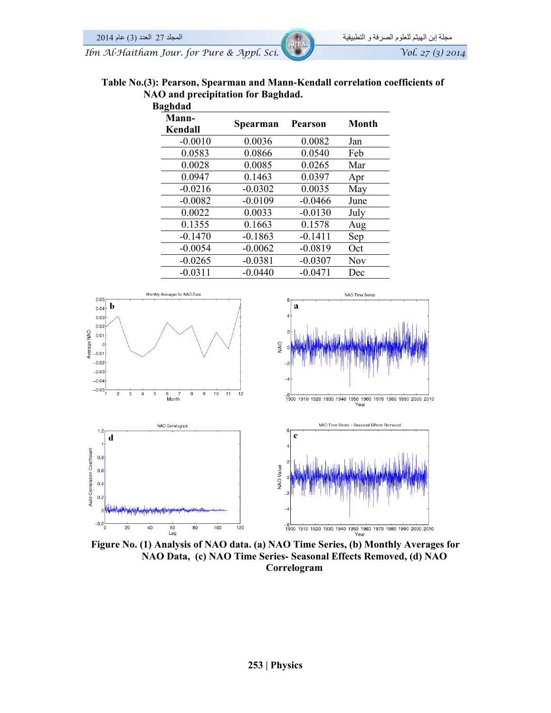| <b>Baghdad</b>   | 0         |                |            |
|------------------|-----------|----------------|------------|
| Mann-<br>Kendall | Spearman  | <b>Pearson</b> | Month      |
| $-0.0010$        | 0.0036    | 0.0082         | Jan        |
| 0.0583           | 0.0866    | 0.0540         | Feb        |
| 0.0028           | 0.0085    | 0.0265         | Mar        |
| 0.0947           | 0.1463    | 0.0397         | Apr        |
| $-0.0216$        | $-0.0302$ | 0.0035         | May        |
| $-0.0082$        | $-0.0109$ | $-0.0466$      | June       |
| 0.0022           | 0.0033    | $-0.0130$      | July       |
| 0.1355           | 0.1663    | 0.1578         | Aug        |
| $-0.1470$        | $-0.1863$ | $-0.1411$      | Sep        |
| $-0.0054$        | $-0.0062$ | $-0.0819$      | Oct        |
| $-0.0265$        | $-0.0381$ | $-0.0307$      | <b>Nov</b> |
| $-0.0311$        | $-0.0440$ | $-0.0471$      | Dec        |



**Figure No. (1) Analysis of NAO data. (a) NAO Time Series, (b) Monthly Averages for NAO Data, (c) NAO Time Series- Seasonal Effects Removed, (d) NAO Correlogram**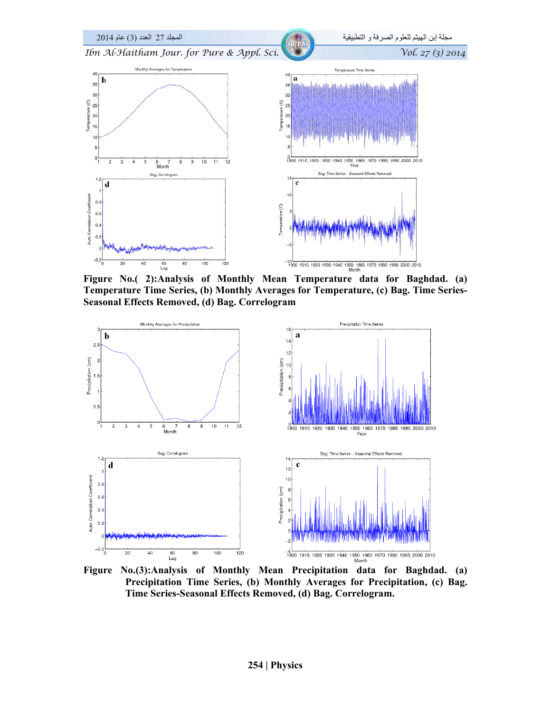

**Figure No.( 2):Analysis of Monthly Mean Temperature data for Baghdad. (a) Temperature Time Series, (b) Monthly Averages for Temperature, (c) Bag. Time Series-Seasonal Effects Removed, (d) Bag. Correlogram** 



**Figure No.(3):Analysis of Monthly Mean Precipitation data for Baghdad. (a) Precipitation Time Series, (b) Monthly Averages for Precipitation, (c) Bag. Time Series-Seasonal Effects Removed, (d) Bag. Correlogram.**